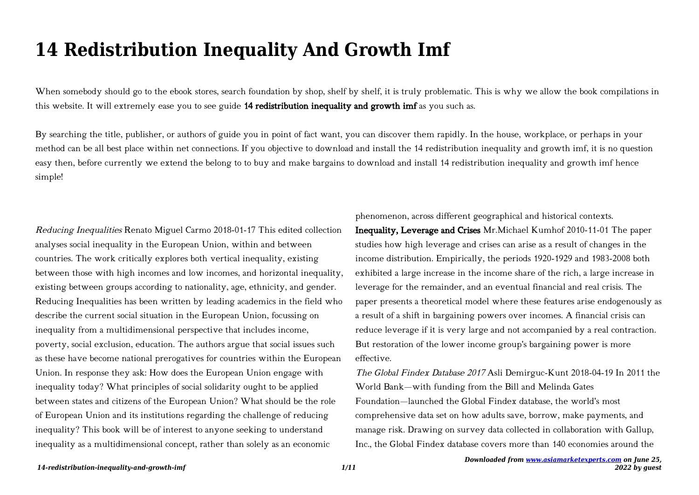## **14 Redistribution Inequality And Growth Imf**

When somebody should go to the ebook stores, search foundation by shop, shelf by shelf, it is truly problematic. This is why we allow the book compilations in this website. It will extremely ease you to see guide 14 redistribution inequality and growth imf as you such as.

By searching the title, publisher, or authors of guide you in point of fact want, you can discover them rapidly. In the house, workplace, or perhaps in your method can be all best place within net connections. If you objective to download and install the 14 redistribution inequality and growth imf, it is no question easy then, before currently we extend the belong to to buy and make bargains to download and install 14 redistribution inequality and growth imf hence simple!

Reducing Inequalities Renato Miguel Carmo 2018-01-17 This edited collection analyses social inequality in the European Union, within and between countries. The work critically explores both vertical inequality, existing between those with high incomes and low incomes, and horizontal inequality, existing between groups according to nationality, age, ethnicity, and gender. Reducing Inequalities has been written by leading academics in the field who describe the current social situation in the European Union, focussing on inequality from a multidimensional perspective that includes income, poverty, social exclusion, education. The authors argue that social issues such as these have become national prerogatives for countries within the European Union. In response they ask: How does the European Union engage with inequality today? What principles of social solidarity ought to be applied between states and citizens of the European Union? What should be the role of European Union and its institutions regarding the challenge of reducing inequality? This book will be of interest to anyone seeking to understand inequality as a multidimensional concept, rather than solely as an economic

phenomenon, across different geographical and historical contexts. Inequality, Leverage and Crises Mr.Michael Kumhof 2010-11-01 The paper studies how high leverage and crises can arise as a result of changes in the income distribution. Empirically, the periods 1920-1929 and 1983-2008 both exhibited a large increase in the income share of the rich, a large increase in leverage for the remainder, and an eventual financial and real crisis. The paper presents a theoretical model where these features arise endogenously as a result of a shift in bargaining powers over incomes. A financial crisis can reduce leverage if it is very large and not accompanied by a real contraction. But restoration of the lower income group's bargaining power is more effective.

The Global Findex Database 2017 Asli Demirguc-Kunt 2018-04-19 In 2011 the World Bank—with funding from the Bill and Melinda Gates Foundation—launched the Global Findex database, the world's most comprehensive data set on how adults save, borrow, make payments, and manage risk. Drawing on survey data collected in collaboration with Gallup, Inc., the Global Findex database covers more than 140 economies around the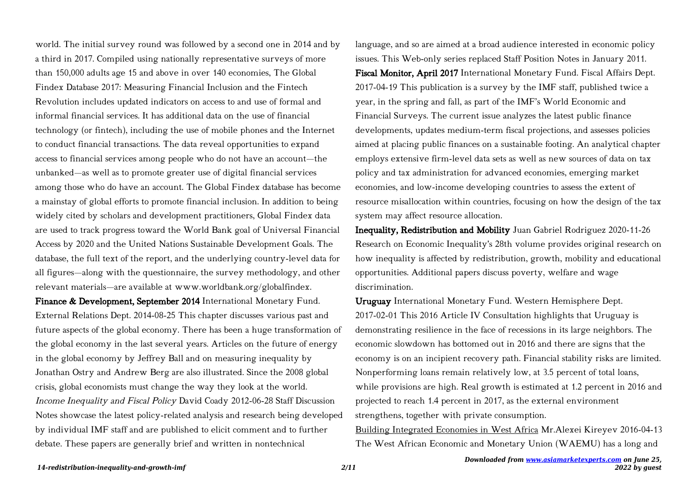world. The initial survey round was followed by a second one in 2014 and by a third in 2017. Compiled using nationally representative surveys of more than 150,000 adults age 15 and above in over 140 economies, The Global Findex Database 2017: Measuring Financial Inclusion and the Fintech Revolution includes updated indicators on access to and use of formal and informal financial services. It has additional data on the use of financial technology (or fintech), including the use of mobile phones and the Internet to conduct financial transactions. The data reveal opportunities to expand access to financial services among people who do not have an account—the unbanked—as well as to promote greater use of digital financial services among those who do have an account. The Global Findex database has become a mainstay of global efforts to promote financial inclusion. In addition to being widely cited by scholars and development practitioners, Global Findex data are used to track progress toward the World Bank goal of Universal Financial Access by 2020 and the United Nations Sustainable Development Goals. The database, the full text of the report, and the underlying country-level data for all figures—along with the questionnaire, the survey methodology, and other relevant materials—are available at www.worldbank.org/globalfindex.

Finance & Development, September 2014 International Monetary Fund. External Relations Dept. 2014-08-25 This chapter discusses various past and future aspects of the global economy. There has been a huge transformation of the global economy in the last several years. Articles on the future of energy in the global economy by Jeffrey Ball and on measuring inequality by Jonathan Ostry and Andrew Berg are also illustrated. Since the 2008 global crisis, global economists must change the way they look at the world. Income Inequality and Fiscal Policy David Coady 2012-06-28 Staff Discussion Notes showcase the latest policy-related analysis and research being developed by individual IMF staff and are published to elicit comment and to further debate. These papers are generally brief and written in nontechnical

language, and so are aimed at a broad audience interested in economic policy issues. This Web-only series replaced Staff Position Notes in January 2011. Fiscal Monitor, April 2017 International Monetary Fund. Fiscal Affairs Dept. 2017-04-19 This publication is a survey by the IMF staff, published twice a year, in the spring and fall, as part of the IMF's World Economic and Financial Surveys. The current issue analyzes the latest public finance developments, updates medium-term fiscal projections, and assesses policies aimed at placing public finances on a sustainable footing. An analytical chapter employs extensive firm-level data sets as well as new sources of data on tax policy and tax administration for advanced economies, emerging market economies, and low-income developing countries to assess the extent of resource misallocation within countries, focusing on how the design of the tax system may affect resource allocation.

Inequality, Redistribution and Mobility Juan Gabriel Rodriguez 2020-11-26 Research on Economic Inequality's 28th volume provides original research on how inequality is affected by redistribution, growth, mobility and educational opportunities. Additional papers discuss poverty, welfare and wage discrimination.

Uruguay International Monetary Fund. Western Hemisphere Dept. 2017-02-01 This 2016 Article IV Consultation highlights that Uruguay is demonstrating resilience in the face of recessions in its large neighbors. The economic slowdown has bottomed out in 2016 and there are signs that the economy is on an incipient recovery path. Financial stability risks are limited. Nonperforming loans remain relatively low, at 3.5 percent of total loans, while provisions are high. Real growth is estimated at 1.2 percent in 2016 and projected to reach 1.4 percent in 2017, as the external environment strengthens, together with private consumption.

Building Integrated Economies in West Africa Mr.Alexei Kireyev 2016-04-13 The West African Economic and Monetary Union (WAEMU) has a long and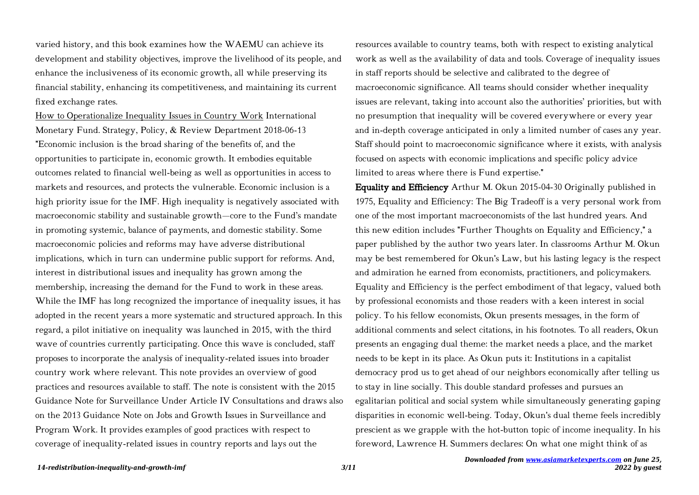varied history, and this book examines how the WAEMU can achieve its development and stability objectives, improve the livelihood of its people, and enhance the inclusiveness of its economic growth, all while preserving its financial stability, enhancing its competitiveness, and maintaining its current fixed exchange rates.

How to Operationalize Inequality Issues in Country Work International Monetary Fund. Strategy, Policy, & Review Department 2018-06-13 "Economic inclusion is the broad sharing of the benefits of, and the opportunities to participate in, economic growth. It embodies equitable outcomes related to financial well-being as well as opportunities in access to markets and resources, and protects the vulnerable. Economic inclusion is a high priority issue for the IMF. High inequality is negatively associated with macroeconomic stability and sustainable growth—core to the Fund's mandate in promoting systemic, balance of payments, and domestic stability. Some macroeconomic policies and reforms may have adverse distributional implications, which in turn can undermine public support for reforms. And, interest in distributional issues and inequality has grown among the membership, increasing the demand for the Fund to work in these areas. While the IMF has long recognized the importance of inequality issues, it has adopted in the recent years a more systematic and structured approach. In this regard, a pilot initiative on inequality was launched in 2015, with the third wave of countries currently participating. Once this wave is concluded, staff proposes to incorporate the analysis of inequality-related issues into broader country work where relevant. This note provides an overview of good practices and resources available to staff. The note is consistent with the 2015 Guidance Note for Surveillance Under Article IV Consultations and draws also on the 2013 Guidance Note on Jobs and Growth Issues in Surveillance and Program Work. It provides examples of good practices with respect to coverage of inequality-related issues in country reports and lays out the

resources available to country teams, both with respect to existing analytical work as well as the availability of data and tools. Coverage of inequality issues in staff reports should be selective and calibrated to the degree of macroeconomic significance. All teams should consider whether inequality issues are relevant, taking into account also the authorities' priorities, but with no presumption that inequality will be covered everywhere or every year and in-depth coverage anticipated in only a limited number of cases any year. Staff should point to macroeconomic significance where it exists, with analysis focused on aspects with economic implications and specific policy advice limited to areas where there is Fund expertise."

Equality and Efficiency Arthur M. Okun 2015-04-30 Originally published in 1975, Equality and Efficiency: The Big Tradeoff is a very personal work from one of the most important macroeconomists of the last hundred years. And this new edition includes "Further Thoughts on Equality and Efficiency," a paper published by the author two years later. In classrooms Arthur M. Okun may be best remembered for Okun's Law, but his lasting legacy is the respect and admiration he earned from economists, practitioners, and policymakers. Equality and Efficiency is the perfect embodiment of that legacy, valued both by professional economists and those readers with a keen interest in social policy. To his fellow economists, Okun presents messages, in the form of additional comments and select citations, in his footnotes. To all readers, Okun presents an engaging dual theme: the market needs a place, and the market needs to be kept in its place. As Okun puts it: Institutions in a capitalist democracy prod us to get ahead of our neighbors economically after telling us to stay in line socially. This double standard professes and pursues an egalitarian political and social system while simultaneously generating gaping disparities in economic well-being. Today, Okun's dual theme feels incredibly prescient as we grapple with the hot-button topic of income inequality. In his foreword, Lawrence H. Summers declares: On what one might think of as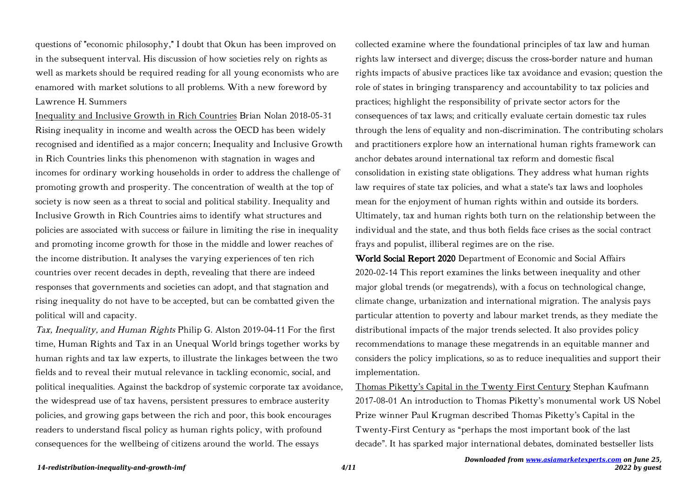questions of "economic philosophy," I doubt that Okun has been improved on in the subsequent interval. His discussion of how societies rely on rights as well as markets should be required reading for all young economists who are enamored with market solutions to all problems. With a new foreword by Lawrence H. Summers

Inequality and Inclusive Growth in Rich Countries Brian Nolan 2018-05-31 Rising inequality in income and wealth across the OECD has been widely recognised and identified as a major concern; Inequality and Inclusive Growth in Rich Countries links this phenomenon with stagnation in wages and incomes for ordinary working households in order to address the challenge of promoting growth and prosperity. The concentration of wealth at the top of society is now seen as a threat to social and political stability. Inequality and Inclusive Growth in Rich Countries aims to identify what structures and policies are associated with success or failure in limiting the rise in inequality and promoting income growth for those in the middle and lower reaches of the income distribution. It analyses the varying experiences of ten rich countries over recent decades in depth, revealing that there are indeed responses that governments and societies can adopt, and that stagnation and rising inequality do not have to be accepted, but can be combatted given the political will and capacity.

Tax, Inequality, and Human Rights Philip G. Alston 2019-04-11 For the first time, Human Rights and Tax in an Unequal World brings together works by human rights and tax law experts, to illustrate the linkages between the two fields and to reveal their mutual relevance in tackling economic, social, and political inequalities. Against the backdrop of systemic corporate tax avoidance, the widespread use of tax havens, persistent pressures to embrace austerity policies, and growing gaps between the rich and poor, this book encourages readers to understand fiscal policy as human rights policy, with profound consequences for the wellbeing of citizens around the world. The essays

collected examine where the foundational principles of tax law and human rights law intersect and diverge; discuss the cross-border nature and human rights impacts of abusive practices like tax avoidance and evasion; question the role of states in bringing transparency and accountability to tax policies and practices; highlight the responsibility of private sector actors for the consequences of tax laws; and critically evaluate certain domestic tax rules through the lens of equality and non-discrimination. The contributing scholars and practitioners explore how an international human rights framework can anchor debates around international tax reform and domestic fiscal consolidation in existing state obligations. They address what human rights law requires of state tax policies, and what a state's tax laws and loopholes mean for the enjoyment of human rights within and outside its borders. Ultimately, tax and human rights both turn on the relationship between the individual and the state, and thus both fields face crises as the social contract frays and populist, illiberal regimes are on the rise.

World Social Report 2020 Department of Economic and Social Affairs 2020-02-14 This report examines the links between inequality and other major global trends (or megatrends), with a focus on technological change, climate change, urbanization and international migration. The analysis pays particular attention to poverty and labour market trends, as they mediate the distributional impacts of the major trends selected. It also provides policy recommendations to manage these megatrends in an equitable manner and considers the policy implications, so as to reduce inequalities and support their implementation.

Thomas Piketty's Capital in the Twenty First Century Stephan Kaufmann 2017-08-01 An introduction to Thomas Piketty's monumental work US Nobel Prize winner Paul Krugman described Thomas Piketty's Capital in the Twenty-First Century as "perhaps the most important book of the last decade". It has sparked major international debates, dominated bestseller lists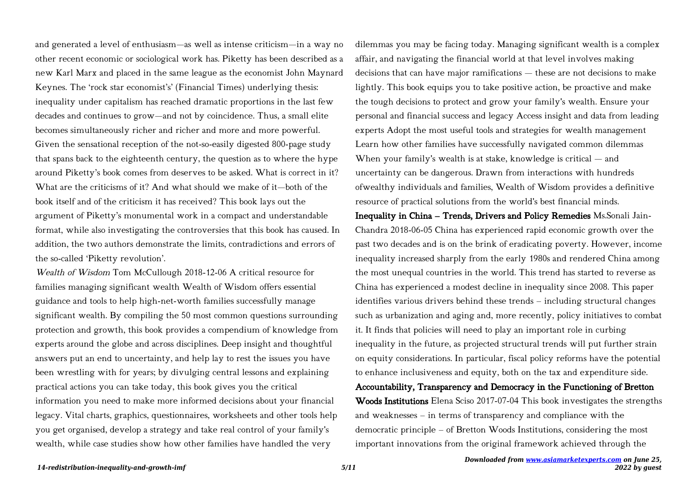and generated a level of enthusiasm—as well as intense criticism—in a way no other recent economic or sociological work has. Piketty has been described as a new Karl Marx and placed in the same league as the economist John Maynard Keynes. The 'rock star economist's' (Financial Times) underlying thesis: inequality under capitalism has reached dramatic proportions in the last few decades and continues to grow—and not by coincidence. Thus, a small elite becomes simultaneously richer and richer and more and more powerful. Given the sensational reception of the not-so-easily digested 800-page study that spans back to the eighteenth century, the question as to where the hype around Piketty's book comes from deserves to be asked. What is correct in it? What are the criticisms of it? And what should we make of it—both of the book itself and of the criticism it has received? This book lays out the argument of Piketty's monumental work in a compact and understandable format, while also investigating the controversies that this book has caused. In addition, the two authors demonstrate the limits, contradictions and errors of the so-called 'Piketty revolution'.

Wealth of Wisdom Tom McCullough 2018-12-06 A critical resource for families managing significant wealth Wealth of Wisdom offers essential guidance and tools to help high-net-worth families successfully manage significant wealth. By compiling the 50 most common questions surrounding protection and growth, this book provides a compendium of knowledge from experts around the globe and across disciplines. Deep insight and thoughtful answers put an end to uncertainty, and help lay to rest the issues you have been wrestling with for years; by divulging central lessons and explaining practical actions you can take today, this book gives you the critical information you need to make more informed decisions about your financial legacy. Vital charts, graphics, questionnaires, worksheets and other tools help you get organised, develop a strategy and take real control of your family's wealth, while case studies show how other families have handled the very

dilemmas you may be facing today. Managing significant wealth is a complex affair, and navigating the financial world at that level involves making decisions that can have major ramifications — these are not decisions to make lightly. This book equips you to take positive action, be proactive and make the tough decisions to protect and grow your family's wealth. Ensure your personal and financial success and legacy Access insight and data from leading experts Adopt the most useful tools and strategies for wealth management Learn how other families have successfully navigated common dilemmas When your family's wealth is at stake, knowledge is critical — and uncertainty can be dangerous. Drawn from interactions with hundreds ofwealthy individuals and families, Wealth of Wisdom provides a definitive resource of practical solutions from the world's best financial minds. Inequality in China – Trends, Drivers and Policy Remedies Ms.Sonali Jain-Chandra 2018-06-05 China has experienced rapid economic growth over the past two decades and is on the brink of eradicating poverty. However, income inequality increased sharply from the early 1980s and rendered China among the most unequal countries in the world. This trend has started to reverse as China has experienced a modest decline in inequality since 2008. This paper identifies various drivers behind these trends – including structural changes such as urbanization and aging and, more recently, policy initiatives to combat it. It finds that policies will need to play an important role in curbing inequality in the future, as projected structural trends will put further strain on equity considerations. In particular, fiscal policy reforms have the potential to enhance inclusiveness and equity, both on the tax and expenditure side. Accountability, Transparency and Democracy in the Functioning of Bretton Woods Institutions Elena Sciso 2017-07-04 This book investigates the strengths and weaknesses – in terms of transparency and compliance with the democratic principle – of Bretton Woods Institutions, considering the most important innovations from the original framework achieved through the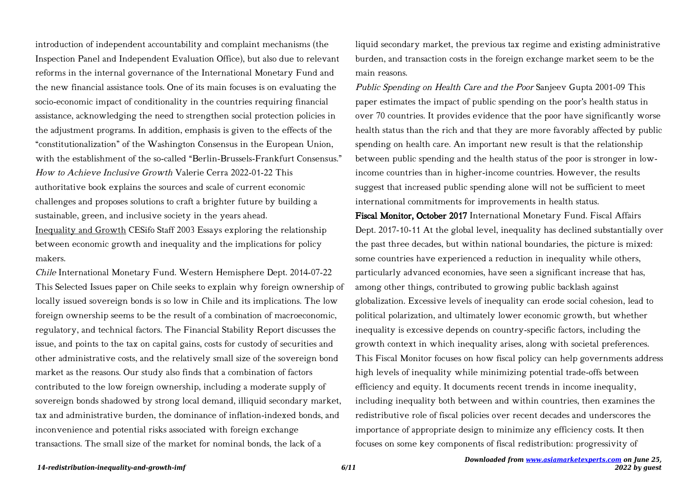introduction of independent accountability and complaint mechanisms (the Inspection Panel and Independent Evaluation Office), but also due to relevant reforms in the internal governance of the International Monetary Fund and the new financial assistance tools. One of its main focuses is on evaluating the socio-economic impact of conditionality in the countries requiring financial assistance, acknowledging the need to strengthen social protection policies in the adjustment programs. In addition, emphasis is given to the effects of the "constitutionalization" of the Washington Consensus in the European Union, with the establishment of the so-called "Berlin-Brussels-Frankfurt Consensus." How to Achieve Inclusive Growth Valerie Cerra 2022-01-22 This authoritative book explains the sources and scale of current economic challenges and proposes solutions to craft a brighter future by building a sustainable, green, and inclusive society in the years ahead.

Inequality and Growth CESifo Staff 2003 Essays exploring the relationship between economic growth and inequality and the implications for policy makers.

Chile International Monetary Fund. Western Hemisphere Dept. 2014-07-22 This Selected Issues paper on Chile seeks to explain why foreign ownership of locally issued sovereign bonds is so low in Chile and its implications. The low foreign ownership seems to be the result of a combination of macroeconomic, regulatory, and technical factors. The Financial Stability Report discusses the issue, and points to the tax on capital gains, costs for custody of securities and other administrative costs, and the relatively small size of the sovereign bond market as the reasons. Our study also finds that a combination of factors contributed to the low foreign ownership, including a moderate supply of sovereign bonds shadowed by strong local demand, illiquid secondary market, tax and administrative burden, the dominance of inflation-indexed bonds, and inconvenience and potential risks associated with foreign exchange transactions. The small size of the market for nominal bonds, the lack of a

liquid secondary market, the previous tax regime and existing administrative burden, and transaction costs in the foreign exchange market seem to be the main reasons.

Public Spending on Health Care and the Poor Sanjeev Gupta 2001-09 This paper estimates the impact of public spending on the poor's health status in over 70 countries. It provides evidence that the poor have significantly worse health status than the rich and that they are more favorably affected by public spending on health care. An important new result is that the relationship between public spending and the health status of the poor is stronger in lowincome countries than in higher-income countries. However, the results suggest that increased public spending alone will not be sufficient to meet international commitments for improvements in health status.

Fiscal Monitor, October 2017 International Monetary Fund. Fiscal Affairs Dept. 2017-10-11 At the global level, inequality has declined substantially over the past three decades, but within national boundaries, the picture is mixed: some countries have experienced a reduction in inequality while others, particularly advanced economies, have seen a significant increase that has, among other things, contributed to growing public backlash against globalization. Excessive levels of inequality can erode social cohesion, lead to political polarization, and ultimately lower economic growth, but whether inequality is excessive depends on country-specific factors, including the growth context in which inequality arises, along with societal preferences. This Fiscal Monitor focuses on how fiscal policy can help governments address high levels of inequality while minimizing potential trade-offs between efficiency and equity. It documents recent trends in income inequality, including inequality both between and within countries, then examines the redistributive role of fiscal policies over recent decades and underscores the importance of appropriate design to minimize any efficiency costs. It then focuses on some key components of fiscal redistribution: progressivity of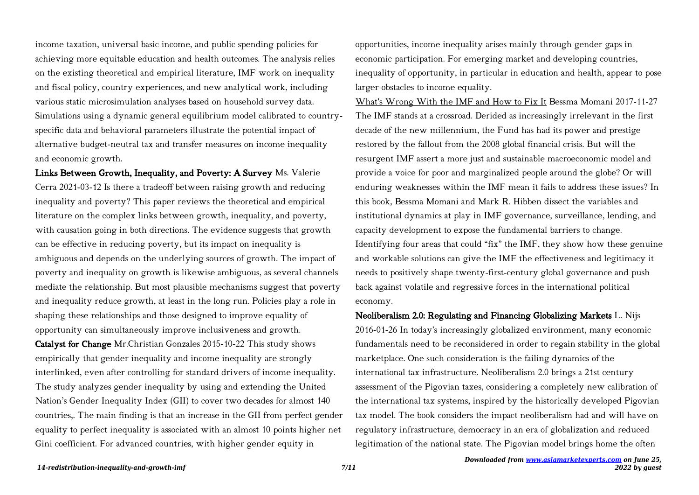income taxation, universal basic income, and public spending policies for achieving more equitable education and health outcomes. The analysis relies on the existing theoretical and empirical literature, IMF work on inequality and fiscal policy, country experiences, and new analytical work, including various static microsimulation analyses based on household survey data. Simulations using a dynamic general equilibrium model calibrated to countryspecific data and behavioral parameters illustrate the potential impact of alternative budget-neutral tax and transfer measures on income inequality and economic growth.

Links Between Growth, Inequality, and Poverty: A Survey Ms. Valerie Cerra 2021-03-12 Is there a tradeoff between raising growth and reducing inequality and poverty? This paper reviews the theoretical and empirical literature on the complex links between growth, inequality, and poverty, with causation going in both directions. The evidence suggests that growth can be effective in reducing poverty, but its impact on inequality is ambiguous and depends on the underlying sources of growth. The impact of poverty and inequality on growth is likewise ambiguous, as several channels mediate the relationship. But most plausible mechanisms suggest that poverty and inequality reduce growth, at least in the long run. Policies play a role in shaping these relationships and those designed to improve equality of opportunity can simultaneously improve inclusiveness and growth. Catalyst for Change Mr.Christian Gonzales 2015-10-22 This study shows empirically that gender inequality and income inequality are strongly interlinked, even after controlling for standard drivers of income inequality. The study analyzes gender inequality by using and extending the United Nation's Gender Inequality Index (GII) to cover two decades for almost 140 countries,. The main finding is that an increase in the GII from perfect gender equality to perfect inequality is associated with an almost 10 points higher net Gini coefficient. For advanced countries, with higher gender equity in

opportunities, income inequality arises mainly through gender gaps in economic participation. For emerging market and developing countries, inequality of opportunity, in particular in education and health, appear to pose larger obstacles to income equality.

What's Wrong With the IMF and How to Fix It Bessma Momani 2017-11-27 The IMF stands at a crossroad. Derided as increasingly irrelevant in the first decade of the new millennium, the Fund has had its power and prestige restored by the fallout from the 2008 global financial crisis. But will the resurgent IMF assert a more just and sustainable macroeconomic model and provide a voice for poor and marginalized people around the globe? Or will enduring weaknesses within the IMF mean it fails to address these issues? In this book, Bessma Momani and Mark R. Hibben dissect the variables and institutional dynamics at play in IMF governance, surveillance, lending, and capacity development to expose the fundamental barriers to change. Identifying four areas that could "fix" the IMF, they show how these genuine and workable solutions can give the IMF the effectiveness and legitimacy it needs to positively shape twenty-first-century global governance and push back against volatile and regressive forces in the international political economy.

Neoliberalism 2.0: Regulating and Financing Globalizing Markets L. Nijs 2016-01-26 In today's increasingly globalized environment, many economic fundamentals need to be reconsidered in order to regain stability in the global marketplace. One such consideration is the failing dynamics of the international tax infrastructure. Neoliberalism 2.0 brings a 21st century assessment of the Pigovian taxes, considering a completely new calibration of the international tax systems, inspired by the historically developed Pigovian tax model. The book considers the impact neoliberalism had and will have on regulatory infrastructure, democracy in an era of globalization and reduced legitimation of the national state. The Pigovian model brings home the often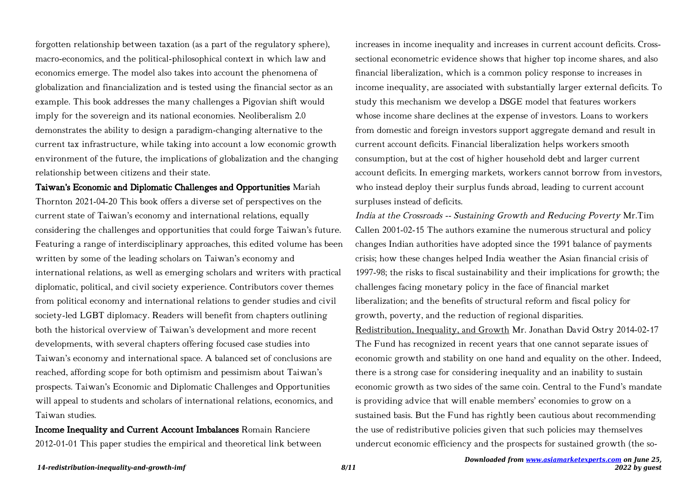forgotten relationship between taxation (as a part of the regulatory sphere), macro-economics, and the political-philosophical context in which law and economics emerge. The model also takes into account the phenomena of globalization and financialization and is tested using the financial sector as an example. This book addresses the many challenges a Pigovian shift would imply for the sovereign and its national economies. Neoliberalism 2.0 demonstrates the ability to design a paradigm-changing alternative to the current tax infrastructure, while taking into account a low economic growth environment of the future, the implications of globalization and the changing relationship between citizens and their state.

Taiwan's Economic and Diplomatic Challenges and Opportunities Mariah Thornton 2021-04-20 This book offers a diverse set of perspectives on the current state of Taiwan's economy and international relations, equally considering the challenges and opportunities that could forge Taiwan's future. Featuring a range of interdisciplinary approaches, this edited volume has been written by some of the leading scholars on Taiwan's economy and international relations, as well as emerging scholars and writers with practical diplomatic, political, and civil society experience. Contributors cover themes from political economy and international relations to gender studies and civil society-led LGBT diplomacy. Readers will benefit from chapters outlining both the historical overview of Taiwan's development and more recent developments, with several chapters offering focused case studies into Taiwan's economy and international space. A balanced set of conclusions are reached, affording scope for both optimism and pessimism about Taiwan's prospects. Taiwan's Economic and Diplomatic Challenges and Opportunities will appeal to students and scholars of international relations, economics, and Taiwan studies.

Income Inequality and Current Account Imbalances Romain Ranciere 2012-01-01 This paper studies the empirical and theoretical link between increases in income inequality and increases in current account deficits. Crosssectional econometric evidence shows that higher top income shares, and also financial liberalization, which is a common policy response to increases in income inequality, are associated with substantially larger external deficits. To study this mechanism we develop a DSGE model that features workers whose income share declines at the expense of investors. Loans to workers from domestic and foreign investors support aggregate demand and result in current account deficits. Financial liberalization helps workers smooth consumption, but at the cost of higher household debt and larger current account deficits. In emerging markets, workers cannot borrow from investors, who instead deploy their surplus funds abroad, leading to current account surpluses instead of deficits.

India at the Crossroads -- Sustaining Growth and Reducing Poverty Mr.Tim Callen 2001-02-15 The authors examine the numerous structural and policy changes Indian authorities have adopted since the 1991 balance of payments crisis; how these changes helped India weather the Asian financial crisis of 1997-98; the risks to fiscal sustainability and their implications for growth; the challenges facing monetary policy in the face of financial market liberalization; and the benefits of structural reform and fiscal policy for growth, poverty, and the reduction of regional disparities. Redistribution, Inequality, and Growth Mr. Jonathan David Ostry 2014-02-17 The Fund has recognized in recent years that one cannot separate issues of economic growth and stability on one hand and equality on the other. Indeed, there is a strong case for considering inequality and an inability to sustain economic growth as two sides of the same coin. Central to the Fund's mandate is providing advice that will enable members' economies to grow on a sustained basis. But the Fund has rightly been cautious about recommending the use of redistributive policies given that such policies may themselves undercut economic efficiency and the prospects for sustained growth (the so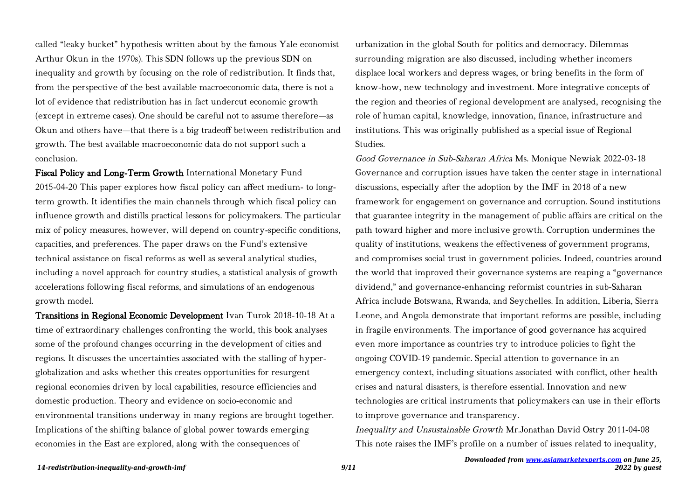called "leaky bucket" hypothesis written about by the famous Yale economist Arthur Okun in the 1970s). This SDN follows up the previous SDN on inequality and growth by focusing on the role of redistribution. It finds that, from the perspective of the best available macroeconomic data, there is not a lot of evidence that redistribution has in fact undercut economic growth (except in extreme cases). One should be careful not to assume therefore—as Okun and others have—that there is a big tradeoff between redistribution and growth. The best available macroeconomic data do not support such a conclusion.

Fiscal Policy and Long-Term Growth International Monetary Fund 2015-04-20 This paper explores how fiscal policy can affect medium- to longterm growth. It identifies the main channels through which fiscal policy can influence growth and distills practical lessons for policymakers. The particular mix of policy measures, however, will depend on country-specific conditions, capacities, and preferences. The paper draws on the Fund's extensive technical assistance on fiscal reforms as well as several analytical studies, including a novel approach for country studies, a statistical analysis of growth accelerations following fiscal reforms, and simulations of an endogenous growth model.

Transitions in Regional Economic Development Ivan Turok 2018-10-18 At a time of extraordinary challenges confronting the world, this book analyses some of the profound changes occurring in the development of cities and regions. It discusses the uncertainties associated with the stalling of hyperglobalization and asks whether this creates opportunities for resurgent regional economies driven by local capabilities, resource efficiencies and domestic production. Theory and evidence on socio-economic and environmental transitions underway in many regions are brought together. Implications of the shifting balance of global power towards emerging economies in the East are explored, along with the consequences of

urbanization in the global South for politics and democracy. Dilemmas surrounding migration are also discussed, including whether incomers displace local workers and depress wages, or bring benefits in the form of know-how, new technology and investment. More integrative concepts of the region and theories of regional development are analysed, recognising the role of human capital, knowledge, innovation, finance, infrastructure and institutions. This was originally published as a special issue of Regional Studies.

Good Governance in Sub-Saharan Africa Ms. Monique Newiak 2022-03-18 Governance and corruption issues have taken the center stage in international discussions, especially after the adoption by the IMF in 2018 of a new framework for engagement on governance and corruption. Sound institutions that guarantee integrity in the management of public affairs are critical on the path toward higher and more inclusive growth. Corruption undermines the quality of institutions, weakens the effectiveness of government programs, and compromises social trust in government policies. Indeed, countries around the world that improved their governance systems are reaping a "governance dividend," and governance-enhancing reformist countries in sub-Saharan Africa include Botswana, Rwanda, and Seychelles. In addition, Liberia, Sierra Leone, and Angola demonstrate that important reforms are possible, including in fragile environments. The importance of good governance has acquired even more importance as countries try to introduce policies to fight the ongoing COVID-19 pandemic. Special attention to governance in an emergency context, including situations associated with conflict, other health crises and natural disasters, is therefore essential. Innovation and new technologies are critical instruments that policymakers can use in their efforts to improve governance and transparency.

Inequality and Unsustainable Growth Mr.Jonathan David Ostry 2011-04-08 This note raises the IMF's profile on a number of issues related to inequality,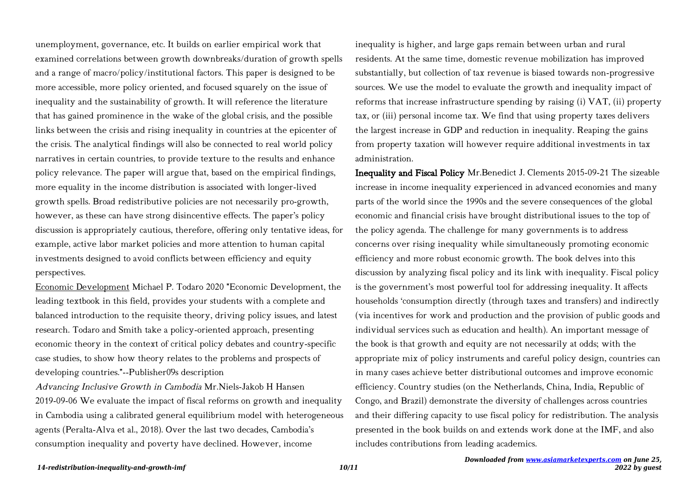unemployment, governance, etc. It builds on earlier empirical work that examined correlations between growth downbreaks/duration of growth spells and a range of macro/policy/institutional factors. This paper is designed to be more accessible, more policy oriented, and focused squarely on the issue of inequality and the sustainability of growth. It will reference the literature that has gained prominence in the wake of the global crisis, and the possible links between the crisis and rising inequality in countries at the epicenter of the crisis. The analytical findings will also be connected to real world policy narratives in certain countries, to provide texture to the results and enhance policy relevance. The paper will argue that, based on the empirical findings, more equality in the income distribution is associated with longer-lived growth spells. Broad redistributive policies are not necessarily pro-growth, however, as these can have strong disincentive effects. The paper's policy discussion is appropriately cautious, therefore, offering only tentative ideas, for example, active labor market policies and more attention to human capital investments designed to avoid conflicts between efficiency and equity perspectives.

Economic Development Michael P. Todaro 2020 "Economic Development, the leading textbook in this field, provides your students with a complete and balanced introduction to the requisite theory, driving policy issues, and latest research. Todaro and Smith take a policy-oriented approach, presenting economic theory in the context of critical policy debates and country-specific case studies, to show how theory relates to the problems and prospects of developing countries."--Publisher0́9s description

Advancing Inclusive Growth in Cambodia Mr.Niels-Jakob H Hansen 2019-09-06 We evaluate the impact of fiscal reforms on growth and inequality in Cambodia using a calibrated general equilibrium model with heterogeneous agents (Peralta-Alva et al., 2018). Over the last two decades, Cambodia's consumption inequality and poverty have declined. However, income

inequality is higher, and large gaps remain between urban and rural residents. At the same time, domestic revenue mobilization has improved substantially, but collection of tax revenue is biased towards non-progressive sources. We use the model to evaluate the growth and inequality impact of reforms that increase infrastructure spending by raising (i) VAT, (ii) property tax, or (iii) personal income tax. We find that using property taxes delivers the largest increase in GDP and reduction in inequality. Reaping the gains from property taxation will however require additional investments in tax administration.

Inequality and Fiscal Policy Mr.Benedict J. Clements 2015-09-21 The sizeable increase in income inequality experienced in advanced economies and many parts of the world since the 1990s and the severe consequences of the global economic and financial crisis have brought distributional issues to the top of the policy agenda. The challenge for many governments is to address concerns over rising inequality while simultaneously promoting economic efficiency and more robust economic growth. The book delves into this discussion by analyzing fiscal policy and its link with inequality. Fiscal policy is the government's most powerful tool for addressing inequality. It affects households 'consumption directly (through taxes and transfers) and indirectly (via incentives for work and production and the provision of public goods and individual services such as education and health). An important message of the book is that growth and equity are not necessarily at odds; with the appropriate mix of policy instruments and careful policy design, countries can in many cases achieve better distributional outcomes and improve economic efficiency. Country studies (on the Netherlands, China, India, Republic of Congo, and Brazil) demonstrate the diversity of challenges across countries and their differing capacity to use fiscal policy for redistribution. The analysis presented in the book builds on and extends work done at the IMF, and also includes contributions from leading academics.